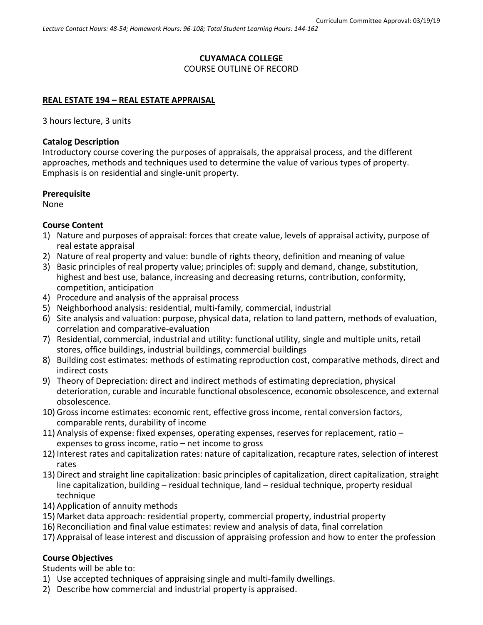# **CUYAMACA COLLEGE**

## COURSE OUTLINE OF RECORD

## **REAL ESTATE 194 – REAL ESTATE APPRAISAL**

3 hours lecture, 3 units

## **Catalog Description**

Introductory course covering the purposes of appraisals, the appraisal process, and the different approaches, methods and techniques used to determine the value of various types of property. Emphasis is on residential and single-unit property.

#### **Prerequisite**

None

## **Course Content**

- 1) Nature and purposes of appraisal: forces that create value, levels of appraisal activity, purpose of real estate appraisal
- 2) Nature of real property and value: bundle of rights theory, definition and meaning of value
- 3) Basic principles of real property value; principles of: supply and demand, change, substitution, highest and best use, balance, increasing and decreasing returns, contribution, conformity, competition, anticipation
- 4) Procedure and analysis of the appraisal process
- 5) Neighborhood analysis: residential, multi-family, commercial, industrial
- 6) Site analysis and valuation: purpose, physical data, relation to land pattern, methods of evaluation, correlation and comparative-evaluation
- 7) Residential, commercial, industrial and utility: functional utility, single and multiple units, retail stores, office buildings, industrial buildings, commercial buildings
- 8) Building cost estimates: methods of estimating reproduction cost, comparative methods, direct and indirect costs
- 9) Theory of Depreciation: direct and indirect methods of estimating depreciation, physical deterioration, curable and incurable functional obsolescence, economic obsolescence, and external obsolescence.
- 10) Gross income estimates: economic rent, effective gross income, rental conversion factors, comparable rents, durability of income
- 11) Analysis of expense: fixed expenses, operating expenses, reserves for replacement, ratio expenses to gross income, ratio – net income to gross
- 12) Interest rates and capitalization rates: nature of capitalization, recapture rates, selection of interest rates
- 13) Direct and straight line capitalization: basic principles of capitalization, direct capitalization, straight line capitalization, building – residual technique, land – residual technique, property residual technique
- 14) Application of annuity methods
- 15) Market data approach: residential property, commercial property, industrial property
- 16) Reconciliation and final value estimates: review and analysis of data, final correlation
- 17) Appraisal of lease interest and discussion of appraising profession and how to enter the profession

## **Course Objectives**

Students will be able to:

- 1) Use accepted techniques of appraising single and multi-family dwellings.
- 2) Describe how commercial and industrial property is appraised.